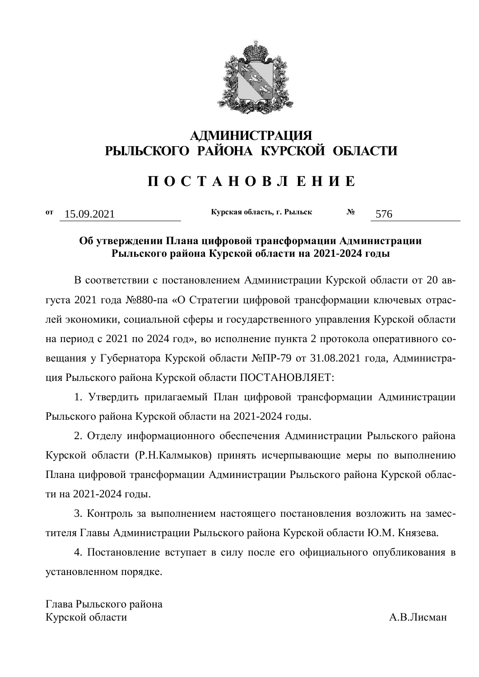

## **АДМИНИСТРАЦИЯ ɊɕɅɖɋɄɈȽɈ ɊȺɃɈɇȺ ɄɍɊɋɄɈɃ ɈȻɅȺɋɌɂ**

# **ɉ Ɉ ɋ Ɍ Ⱥ ɇ Ɉ ȼ Ʌ ȿ ɇ ɂ ȿ**

**ɨɬ** 15.09.2021 **Ʉɭɪɫɤɚɹɨɛɥɚɫɬɶ, ɝ. Ɋɵɥɶɫɤ <sup>ʋ</sup>** 576

## Об утверждении Плана цифровой трансформации Администрации Рыльского района Курской области на 2021-2024 годы

В соответствии с постановлением Администрации Курской области от 20 августа 2021 года №880-па «О Стратегии цифровой трансформации ключевых отраслей экономики, социальной сферы и государственного управления Курской области на период с 2021 по 2024 год», во исполнение пункта 2 протокола оперативного совещания у Губернатора Курской области №ПР-79 от 31.08.2021 года, Администрация Рыльского района Курской области ПОСТАНОВЛЯЕТ:

1. Утвердить прилагаемый План цифровой трансформации Администрации Рыльского района Курской области на 2021-2024 годы.

2. Отделу информационного обеспечения Администрации Рыльского района Курской области (Р.Н.Калмыков) принять исчерпывающие меры по выполнению Плана цифровой трансформации Администрации Рыльского района Курской области на 2021-2024 голы.

3. Контроль за выполнением настоящего постановления возложить на заместителя Главы Администрации Рыльского района Курской области Ю.М. Князева.

4. Постановление вступает в силу после его официального опубликования в установленном порядке.

Глава Рыльского района Курской области **Матифия и политически** А.В.Лисман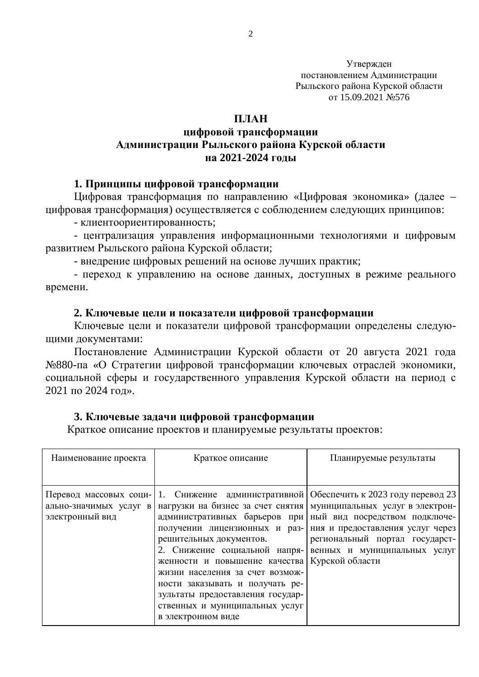Утвержден постановлением Администрации Рыльского района Курской области or 15.09.2021 No576

#### **ПЛАН**

## **иифровой трансформации Администрации Рыльского района Курской области на 2021-2024 голы**

#### **1. Принципы цифровой трансформации**

Цифровая трансформация по направлению «Цифровая экономика» (далее – цифровая трансформация) осуществляется с соблюдением следующих принципов:

- клиентоориентированность;

- централизация управления информационными технологиями и цифровым развитием Рыльского района Курской области;

- внедрение цифровых решений на основе лучших практик;

- переход к управлению на основе данных, доступных в режиме реального времени.

#### 2. Ключевые цели и показатели цифровой трансформации

Ключевые цели и показатели цифровой трансформации определены следующими документами:

Постановление Администрации Курской области от 20 августа 2021 года №880-па «О Стратегии цифровой трансформации ключевых отраслей экономики, социальной сферы и государственного управления Курской области на период с  $2021$   $\text{HO}$   $2024$   $\text{LOI}$ ».

#### 3. Ключевые задачи цифровой трансформации

Краткое описание проектов и планируемые результаты проектов:

| Наименование проекта                                                | Краткое описание                                                                                                                                                                                                                                      | Планируемые результаты                                                                                                                                                                                                                                                                                                                   |
|---------------------------------------------------------------------|-------------------------------------------------------------------------------------------------------------------------------------------------------------------------------------------------------------------------------------------------------|------------------------------------------------------------------------------------------------------------------------------------------------------------------------------------------------------------------------------------------------------------------------------------------------------------------------------------------|
|                                                                     |                                                                                                                                                                                                                                                       |                                                                                                                                                                                                                                                                                                                                          |
| Перевод массовых соци-<br>ально-значимых услуг в<br>электронный вид | решительных документов.<br>2. Снижение социальной напря-<br>женности и повышение качества Курской области<br>жизни населения за счет возмож-<br>ности заказывать и получать ре-<br>зультаты предоставления государ-<br>ственных и муниципальных услуг | 1. Снижение административной   Обеспечить к 2023 году перевод 23<br>нагрузки на бизнес за счет снятия муниципальных услуг в электрон-<br>административных барьеров при ный вид посредством подключе-<br>получении лицензионных и раз- ния и предоставления услуг через<br>региональный портал государст-<br>венных и муниципальных услуг |
|                                                                     | в электронном виде                                                                                                                                                                                                                                    |                                                                                                                                                                                                                                                                                                                                          |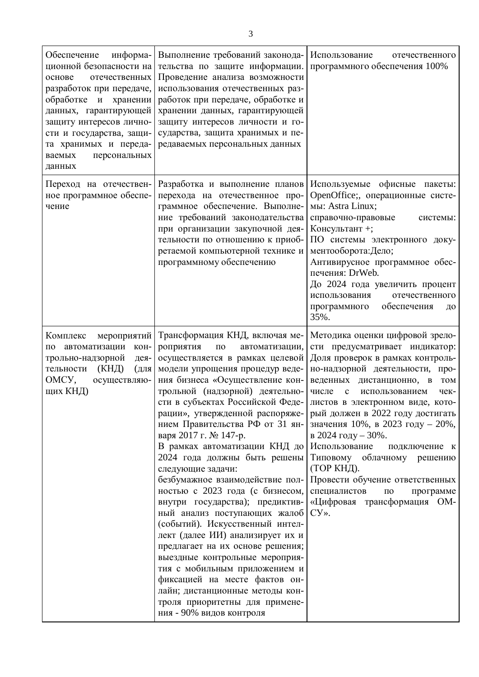| информа-<br>Обеспечение<br>ционной безопасности на<br>отечественных<br>основе<br>разработок при передаче,<br>обработке и<br>хранении<br>данных, гарантирующей<br>защиту интересов лично-<br>сти и государства, защи-<br>та хранимых и переда-<br>персональных<br>ваемых<br>данных | Выполнение требований законода-<br>тельства по защите информации.<br>Проведение анализа возможности<br>использования отечественных раз-<br>работок при передаче, обработке и<br>хранении данных, гарантирующей<br>защиту интересов личности и го-<br>сударства, защита хранимых и пе-<br>редаваемых персональных данных                                                                                                                                                                                                                                                                                                                                                                                                                                                                                                                                                                                | Использование<br>отечественного<br>программного обеспечения 100%                                                                                                                                                                                                                                                                                                                                                                                                                                                                                                          |
|-----------------------------------------------------------------------------------------------------------------------------------------------------------------------------------------------------------------------------------------------------------------------------------|--------------------------------------------------------------------------------------------------------------------------------------------------------------------------------------------------------------------------------------------------------------------------------------------------------------------------------------------------------------------------------------------------------------------------------------------------------------------------------------------------------------------------------------------------------------------------------------------------------------------------------------------------------------------------------------------------------------------------------------------------------------------------------------------------------------------------------------------------------------------------------------------------------|---------------------------------------------------------------------------------------------------------------------------------------------------------------------------------------------------------------------------------------------------------------------------------------------------------------------------------------------------------------------------------------------------------------------------------------------------------------------------------------------------------------------------------------------------------------------------|
| Переход на отечествен-<br>ное программное обеспе-<br>чение                                                                                                                                                                                                                        | Разработка и выполнение планов<br>перехода на отечественное про-<br>граммное обеспечение. Выполне-<br>ние требований законодательства<br>при организации закупочной дея-<br>тельности по отношению к приоб-<br>ретаемой компьютерной технике и<br>программному обеспечению                                                                                                                                                                                                                                                                                                                                                                                                                                                                                                                                                                                                                             | Используемые офисные пакеты:<br>OpenOffice;, операционные систе-<br>мы: Astra Linux;<br>справочно-правовые<br>системы:<br>Консультант +;<br>ПО системы электронного доку-<br>ментооборота: Дело;<br>Антивирусное программное обес-<br>печения: DrWeb.<br>До 2024 года увеличить процент<br>использования<br>отечественного<br>программного<br>обеспечения<br>ДО<br>35%.                                                                                                                                                                                                   |
| Комплекс<br>мероприятий<br>по автоматизации<br>KOH-<br>трольно-надзорной<br>дея-<br>$(KH\Box)$<br>тельности<br>RILL<br>OMCY,<br>осуществляю-<br>щих КНД)                                                                                                                          | Трансформация КНД, включая ме-<br>роприятия<br>$\Pi 0$<br>автоматизации,<br>осуществляется в рамках целевой<br>модели упрощения процедур веде-<br>ния бизнеса «Осуществление кон-<br>трольной (надзорной) деятельно-<br>сти в субъектах Российской Феде-<br>рации», утвержденной распоряже-<br>нием Правительства РФ от 31 ян-<br>варя 2017 г. № 147-р.<br>В рамках автоматизации КНД до<br>2024 года должны быть решены<br>следующие задачи:<br>безбумажное взаимодействие пол-<br>ностью с 2023 года (с бизнесом,<br>внутри государства); предиктив-<br>ный анализ поступающих жалоб<br>(событий). Искусственный интел-<br>лект (далее ИИ) анализирует их и<br>предлагает на их основе решения;<br>выездные контрольные мероприя-<br>тия с мобильным приложением и<br>фиксацией на месте фактов он-<br>лайн; дистанционные методы кон-<br>троля приоритетны для примене-<br>ния - 90% видов контроля | Методика оценки цифровой зрело-<br>сти предусматривает индикатор:<br>Доля проверок в рамках контроль-<br>но-надзорной деятельности, про-<br>веденных дистанционно, в<br><b>TOM</b><br>числе<br>$\mathbf c$<br>использованием<br>чек-<br>листов в электронном виде, кото-<br>рый должен в 2022 году достигать<br>значения 10%, в 2023 году - 20%,<br>в 2024 году - 30%.<br>Использование<br>подключение к<br>Типовому облачному решению<br>(ТОР КНД).<br>Провести обучение ответственных<br>специалистов<br>программе<br>$\Pi 0$<br>«Цифровая трансформация ОМ-<br>$CY>$ . |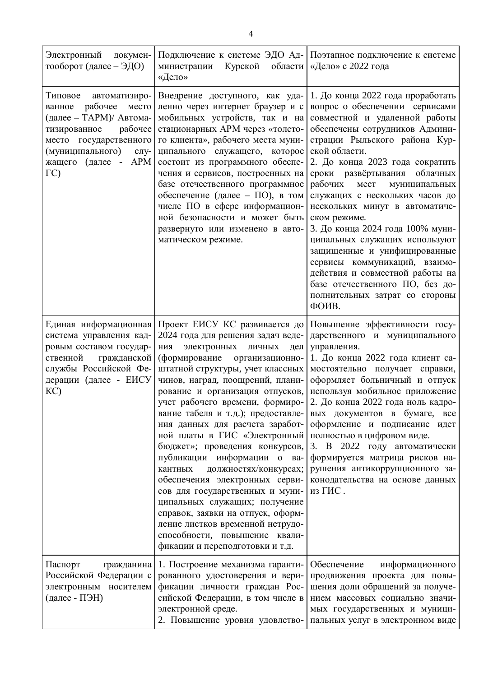| Электронный<br>докумен-<br>тооборот (далее – ЭДО)                                                                                                                                                        | Курской<br>области<br>министрации<br>«Дело»                                                                                                                                                                                                                                                                                                                                                                                                                                                                                                                                                                                                                                                                                                                  | Подключение к системе ЭДО Ад- Поэтапное подключение к системе<br>«Дело» с 2022 года                                                                                                                                                                                                                                                                                                                                                                                                                                                                                                                                                           |
|----------------------------------------------------------------------------------------------------------------------------------------------------------------------------------------------------------|--------------------------------------------------------------------------------------------------------------------------------------------------------------------------------------------------------------------------------------------------------------------------------------------------------------------------------------------------------------------------------------------------------------------------------------------------------------------------------------------------------------------------------------------------------------------------------------------------------------------------------------------------------------------------------------------------------------------------------------------------------------|-----------------------------------------------------------------------------------------------------------------------------------------------------------------------------------------------------------------------------------------------------------------------------------------------------------------------------------------------------------------------------------------------------------------------------------------------------------------------------------------------------------------------------------------------------------------------------------------------------------------------------------------------|
| Типовое<br>автоматизиро-<br>рабочее<br>место<br>ванное<br>(далее - ТАРМ)/ Автома-<br>тизированное<br>рабочее<br>место государственного<br>(муниципального)<br>слу-<br>жащего (далее - АРМ<br>$\Gamma$ C) | Внедрение доступного, как уда-<br>ленно через интернет браузер и с<br>мобильных устройств, так и на<br>стационарных APM через «толсто-<br>го клиента», рабочего места муни-<br>ципального служащего, которое<br>состоит из программного обеспе-<br>чения и сервисов, построенных на<br>базе отечественного программное<br>обеспечение (далее - ПО), в том<br>числе ПО в сфере информацион-<br>ной безопасности и может быть<br>развернуто или изменено в авто-<br>матическом режиме.                                                                                                                                                                                                                                                                         | 1. До конца 2022 года проработать<br>вопрос о обеспечении сервисами<br>совместной и удаленной работы<br>обеспечены сотрудников Админи-<br>страции Рыльского района Кур-<br>ской области.<br>2. До конца 2023 года сократить<br>облачных<br>сроки развёртывания<br>рабочих<br>мест<br>муниципальных<br>служащих с нескольких часов до<br>нескольких минут в автоматиче-<br>ском режиме.<br>3. До конца 2024 года 100% муни-<br>ципальных служащих используют<br>защищенные и унифицированные<br>сервисы коммуникаций, взаимо-<br>действия и совместной работы на<br>базе отечественного ПО, без до-<br>полнительных затрат со стороны<br>ФОИВ. |
| Единая информационная<br>система управления кад-<br>ровым составом государ-<br>ственной<br>гражданской<br>службы Российской Фе-<br>дерации (далее - ЕИСУ<br>KC)                                          | Проект ЕИСУ КС развивается до<br>2024 года для решения задач веде-<br>электронных<br>ния<br>ЛИЧНЫХ<br>дел<br>(формирование<br>организационно-<br>штатной структуры, учет классных<br>чинов, наград, поощрений, плани-<br>рование и организация отпусков,<br>учет рабочего времени, формиро-<br>вание табеля и т.д.); предоставле-<br>ния данных для расчета заработ-<br>ной платы в ГИС «Электронный<br>бюджет»; проведения конкурсов,<br>публикации информации о ва-<br>кантных<br>должностях/конкурсах;<br>обеспечения электронных серви-<br>сов для государственных и муни-<br>ципальных служащих; получение<br>справок, заявки на отпуск, оформ-<br>ление листков временной нетрудо-<br>способности, повышение квали-<br>фикации и переподготовки и т.д. | Повышение эффективности госу-<br>дарственного и муниципального<br>управления.<br>1. До конца 2022 года клиент са-<br>мостоятельно получает справки,<br>оформляет больничный и отпуск<br>используя мобильное приложение<br>2. До конца 2022 года ноль кадро-<br>вых документов в бумаге, все<br>оформление и подписание идет<br>полностью в цифровом виде.<br>3. В 2022 году автоматически<br>формируется матрица рисков на-<br>рушения антикоррупционного за-<br>конодательства на основе данных<br>из ГИС.                                                                                                                                   |
| Паспорт<br>гражданина<br>Российской Федерации с<br>электронным носителем<br>(далее - ПЭН)                                                                                                                | 1. Построение механизма гаранти-<br>рованного удостоверения и вери-<br>фикации личности граждан Рос-<br>сийской Федерации, в том числе в<br>электронной среде.<br>2. Повышение уровня удовлетво-                                                                                                                                                                                                                                                                                                                                                                                                                                                                                                                                                             | информационного<br>Обеспечение<br>продвижения проекта для повы-<br>шения доли обращений за получе-<br>нием массовых социально значи-<br>мых государственных и муници-<br>пальных услуг в электронном виде                                                                                                                                                                                                                                                                                                                                                                                                                                     |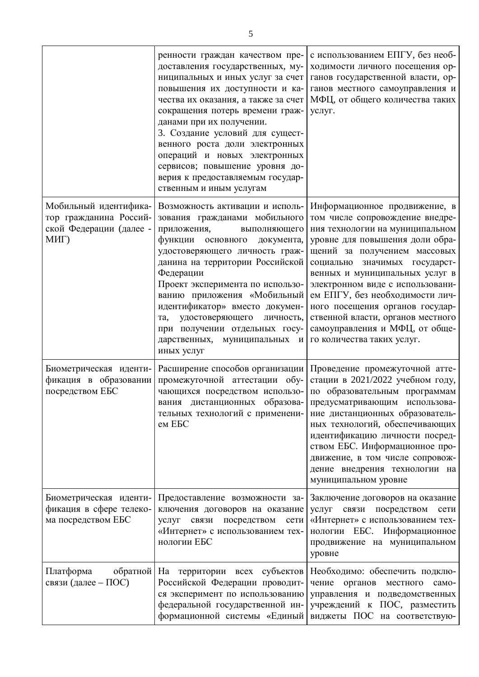|                                                                                    | ренности граждан качеством пре-<br>доставления государственных, му-<br>ниципальных и иных услуг за счет<br>повышения их доступности и ка-<br>чества их оказания, а также за счет<br>сокращения потерь времени граж-<br>данами при их получении.<br>3. Создание условий для сущест-<br>венного роста доли электронных<br>операций и новых электронных<br>сервисов; повышение уровня до-<br>верия к предоставляемым государ-<br>ственным и иным услугам                      | с использованием ЕПГУ, без необ-<br>ходимости личного посещения ор-<br>ганов государственной власти, ор-<br>ганов местного самоуправления и<br>МФЦ, от общего количества таких<br>услуг.                                                                                                                                                                                                                                                                    |
|------------------------------------------------------------------------------------|----------------------------------------------------------------------------------------------------------------------------------------------------------------------------------------------------------------------------------------------------------------------------------------------------------------------------------------------------------------------------------------------------------------------------------------------------------------------------|-------------------------------------------------------------------------------------------------------------------------------------------------------------------------------------------------------------------------------------------------------------------------------------------------------------------------------------------------------------------------------------------------------------------------------------------------------------|
| Мобильный идентифика-<br>тор гражданина Россий-<br>ской Федерации (далее -<br>МИГ) | Возможность активации и исполь-<br>зования гражданами мобильного<br>приложения,<br>выполняющего<br>функции основного<br>документа,<br>удостоверяющего личность граж-<br>данина на территории Российской<br>Федерации<br>Проект эксперимента по использо-<br>ванию приложения «Мобильный<br>идентификатор» вместо докумен-<br>удостоверяющего<br>та,<br>личность,<br>при получении отдельных госу-<br>дарственных, муниципальных<br>$\boldsymbol{\mathsf{M}}$<br>иных услуг | Информационное продвижение, в<br>том числе сопровождение внедре-<br>ния технологии на муниципальном<br>уровне для повышения доли обра-<br>щений за получением массовых<br>значимых государст-<br>социально<br>венных и муниципальных услуг в<br>электронном виде с использовани-<br>ем ЕПГУ, без необходимости лич-<br>ного посещения органов государ-<br>ственной власти, органов местного<br>самоуправления и МФЦ, от обще-<br>го количества таких услуг. |
| Биометрическая иденти-<br>фикация в образовании<br>посредством ЕБС                 | Расширение способов организации<br>промежуточной аттестации обу-<br>чающихся посредством использо-<br>тельных технологий с применени-<br>ем ЕБС                                                                                                                                                                                                                                                                                                                            | Проведение промежуточной атте-<br>стации в 2021/2022 учебном году,<br>по образовательным программам<br>вания дистанционных образова- предусматривающим использова-<br>ние дистанционных образователь-<br>ных технологий, обеспечивающих<br>идентификацию личности посред-<br>ством ЕБС. Информационное про-<br>движение, в том числе сопровож-<br>дение внедрения технологии на<br>муниципальном уровне                                                     |
| Биометрическая иденти-<br>фикация в сфере телеко-<br>ма посредством ЕБС            | Предоставление возможности за-<br>ключения договоров на оказание<br>услуг связи посредством<br>сети<br>«Интернет» с использованием тех-<br>нологии ЕБС                                                                                                                                                                                                                                                                                                                     | Заключение договоров на оказание<br>связи<br>услуг<br>посредством<br>сети<br>«Интернет» с использованием тех-<br>нологии ЕБС. Информационное<br>продвижение на муниципальном<br>уровне                                                                                                                                                                                                                                                                      |
| Платформа<br>обратной<br>связи (далее – ПОС)                                       | На территории всех субъектов<br>Российской Федерации проводит-<br>ся эксперимент по использованию<br>федеральной государственной ин-<br>формационной системы «Единый                                                                                                                                                                                                                                                                                                       | Необходимо: обеспечить подклю-<br>чение<br>органов<br>местного<br>само-<br>управления и подведомственных<br>учреждений к ПОС, разместить<br>виджеты ПОС на соответствую-                                                                                                                                                                                                                                                                                    |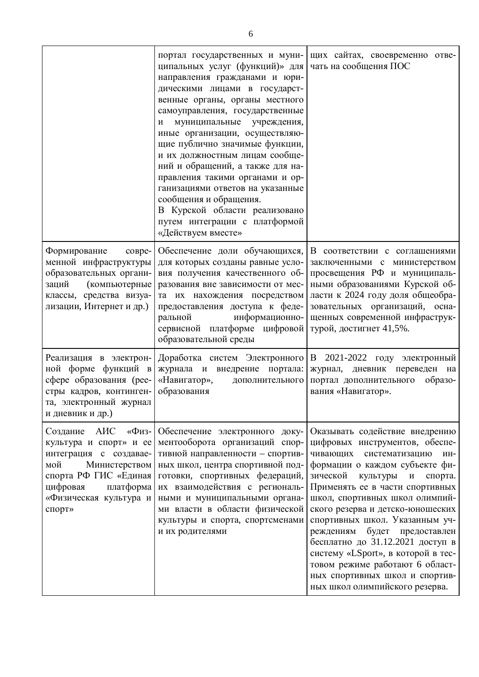|                                                                                                                                                                                            | портал государственных и муни-<br>ципальных услуг (функций)» для<br>направления гражданами и юри-<br>дическими лицами в государст-<br>венные органы, органы местного<br>самоуправления, государственные<br>муниципальные учреждения,<br>И<br>иные организации, осуществляю-<br>щие публично значимые функции,<br>и их должностным лицам сообще-<br>ний и обращений, а также для на-<br>правления такими органами и ор-<br>ганизациями ответов на указанные<br>сообщения и обращения.<br>В Курской области реализовано<br>путем интеграции с платформой<br>«Действуем вместе» | щих сайтах, своевременно отве-<br>чать на сообщения ПОС                                                                                                                                                                                                                                                                                                                                                                                                                                                                                                                |
|--------------------------------------------------------------------------------------------------------------------------------------------------------------------------------------------|------------------------------------------------------------------------------------------------------------------------------------------------------------------------------------------------------------------------------------------------------------------------------------------------------------------------------------------------------------------------------------------------------------------------------------------------------------------------------------------------------------------------------------------------------------------------------|------------------------------------------------------------------------------------------------------------------------------------------------------------------------------------------------------------------------------------------------------------------------------------------------------------------------------------------------------------------------------------------------------------------------------------------------------------------------------------------------------------------------------------------------------------------------|
| Формирование<br>совре-<br>менной инфраструктуры<br>образовательных органи-<br>заций<br>(компьютерные<br>классы, средства визуа-<br>лизации, Интернет и др.)                                | Обеспечение доли обучающихся,<br>для которых созданы равные усло-<br>вия получения качественного об-<br>разования вне зависимости от мес-<br>та их нахождения посредством<br>предоставления доступа к феде-<br>информационно-<br>ральной<br>сервисной платформе цифровой<br>образовательной среды                                                                                                                                                                                                                                                                            | В соответствии с соглашениями<br>заключенными с министерством<br>просвещения РФ и муниципаль-<br>ными образованиями Курской об-<br>ласти к 2024 году доля общеобра-<br>зовательных организаций, осна-<br>щенных современной инфраструк-<br>турой, достигнет 41,5%.                                                                                                                                                                                                                                                                                                     |
| Реализация в электрон-<br>ной форме функций в<br>сфере образования (рее-<br>стры кадров, континген-<br>та, электронный журнал<br>и дневник и др.)                                          | Доработка систем Электронного<br>журнала и внедрение портала:<br>«Навигатор»,<br>дополнительного<br>образования                                                                                                                                                                                                                                                                                                                                                                                                                                                              | В 2021-2022 году электронный<br>дневник переведен на<br>журнал,<br>портал дополнительного образо-<br>вания «Навигатор».                                                                                                                                                                                                                                                                                                                                                                                                                                                |
| AHC<br>«Физ-<br>Создание<br>культура и спорт» и ее<br>интеграция с создавае-<br>мой<br>Министерством<br>спорта РФ ГИС «Единая<br>цифровая<br>платформа<br>«Физическая культура и<br>спорт» | Обеспечение электронного доку-<br>ментооборота организаций спор-<br>тивной направленности - спортив-<br>ных школ, центра спортивной под-<br>готовки, спортивных федераций,<br>их взаимодействия с региональ-<br>ными и муниципальными органа-<br>ми власти в области физической<br>культуры и спорта, спортсменами<br>и их родителями                                                                                                                                                                                                                                        | Оказывать содействие внедрению<br>цифровых инструментов, обеспе-<br>систематизацию<br>чивающих<br>ИН-<br>формации о каждом субъекте фи-<br>зической<br>культуры<br>спорта.<br>$\boldsymbol{\mathrm{M}}$<br>Применять ее в части спортивных<br>школ, спортивных школ олимпий-<br>ского резерва и детско-юношеских<br>спортивных школ. Указанным уч-<br>будет предоставлен<br>реждениям<br>бесплатно до 31.12.2021 доступ в<br>систему «LSport», в которой в тес-<br>товом режиме работают 6 област-<br>ных спортивных школ и спортив-<br>ных школ олимпийского резерва. |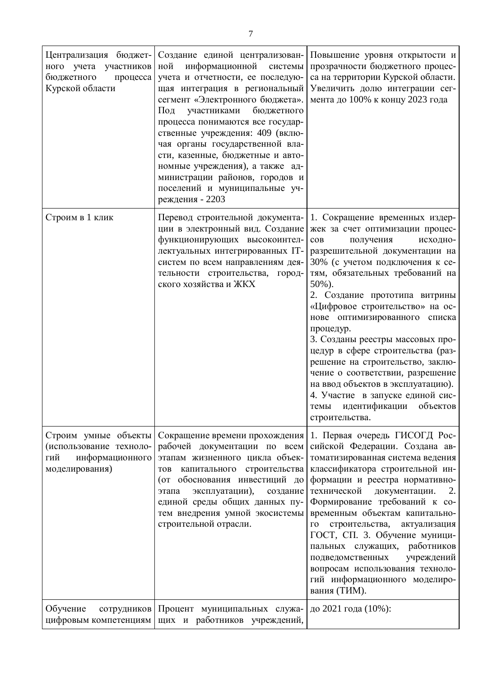| Централизация бюджет-<br>ного учета участников<br>бюджетного<br>процесса<br>Курской области | Создание единой централизован-<br>информационной<br>ной<br>системы<br>учета и отчетности, ее последую-<br>щая интеграция в региональный<br>сегмент «Электронного бюджета».<br>участниками<br>бюджетного<br>Под<br>процесса понимаются все государ-<br>ственные учреждения: 409 (вклю-<br>чая органы государственной вла-<br>сти, казенные, бюджетные и авто-<br>номные учреждения), а также ад-<br>министрации районов, городов и<br>поселений и муниципальные уч-<br>реждения - 2203 | Повышение уровня открытости и<br>прозрачности бюджетного процес-<br>са на территории Курской области.<br>Увеличить долю интеграции сег-<br>мента до 100% к концу 2023 года                                                                                                                                                                                                                                                                                                                                                                                                                                      |
|---------------------------------------------------------------------------------------------|---------------------------------------------------------------------------------------------------------------------------------------------------------------------------------------------------------------------------------------------------------------------------------------------------------------------------------------------------------------------------------------------------------------------------------------------------------------------------------------|-----------------------------------------------------------------------------------------------------------------------------------------------------------------------------------------------------------------------------------------------------------------------------------------------------------------------------------------------------------------------------------------------------------------------------------------------------------------------------------------------------------------------------------------------------------------------------------------------------------------|
| Строим в 1 клик                                                                             | Перевод строительной документа-<br>ции в электронный вид. Создание<br>функционирующих высокоинтел-<br>лектуальных интегрированных IT-<br>систем по всем направлениям дея-<br>тельности строительства,<br>город-<br>ского хозяйства и ЖКХ                                                                                                                                                                                                                                              | 1. Сокращение временных издер-<br>жек за счет оптимизации процес-<br>получения<br>исходно-<br>COB<br>разрешительной документации на<br>30% (с учетом подключения к се-<br>тям, обязательных требований на<br>50%).<br>2. Создание прототипа витрины<br>«Цифровое строительство» на ос-<br>нове оптимизированного списка<br>процедур.<br>3. Созданы реестры массовых про-<br>цедур в сфере строительства (раз-<br>решение на строительство, заклю-<br>чение о соответствии, разрешение<br>на ввод объектов в эксплуатацию).<br>4. Участие в запуске единой сис-<br>темы идентификации объектов<br>строительства. |
| Строим умные объекты<br>(использование техноло-<br>информационного<br>гий<br>моделирования) | Сокращение времени прохождения<br>рабочей документации по всем<br>этапам жизненного цикла объек-<br>капитального строительства<br><b>TOB</b><br>(от обоснования инвестиций до<br>эксплуатации),<br>создание<br>этапа<br>единой среды общих данных пу-<br>тем внедрения умной экосистемы<br>строительной отрасли.                                                                                                                                                                      | 1. Первая очередь ГИСОГД Рос-<br>сийской Федерации. Создана ав-<br>томатизированная система ведения<br>классификатора строительной ин-<br>формации и реестра нормативно-<br>технической<br>документации.<br>2.<br>Формирование требований к со-<br>временным объектам капитально-<br>строительства,<br>$\Gamma O$<br>актуализация<br>ГОСТ, СП. 3. Обучение муници-<br>работников<br>пальных служащих,<br>подведомственных<br>учреждений<br>вопросам использования техноло-<br>гий информационного моделиро-<br>вания (ТИМ).                                                                                     |
| Обучение<br>сотрудников<br>цифровым компетенциям                                            | Процент муниципальных служа-<br>щих и работников учреждений,                                                                                                                                                                                                                                                                                                                                                                                                                          | до 2021 года (10%):                                                                                                                                                                                                                                                                                                                                                                                                                                                                                                                                                                                             |